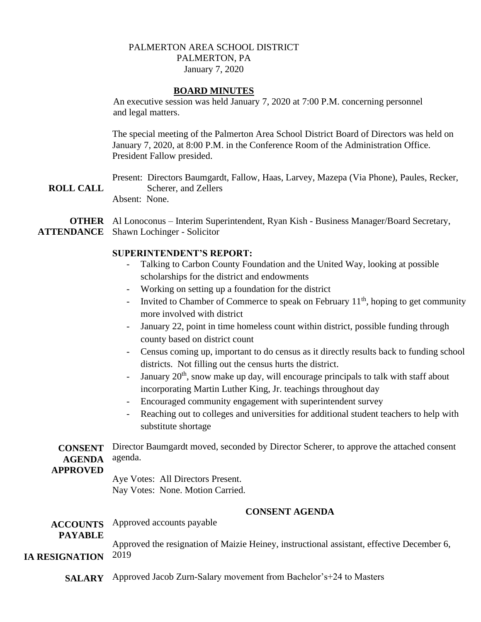# PALMERTON AREA SCHOOL DISTRICT PALMERTON, PA January 7, 2020

#### **BOARD MINUTES**

An executive session was held January 7, 2020 at 7:00 P.M. concerning personnel and legal matters.

The special meeting of the Palmerton Area School District Board of Directors was held on January 7, 2020, at 8:00 P.M. in the Conference Room of the Administration Office. President Fallow presided.

**ROLL CALL** Present: Directors Baumgardt, Fallow, Haas, Larvey, Mazepa (Via Phone), Paules, Recker, Scherer, and Zellers Absent: None.

**OTHER** Al Lonoconus – Interim Superintendent, Ryan Kish - Business Manager/Board Secretary, **ATTENDANCE** Shawn Lochinger - Solicitor

#### **SUPERINTENDENT'S REPORT:**

- Talking to Carbon County Foundation and the United Way, looking at possible scholarships for the district and endowments
- Working on setting up a foundation for the district
- Invited to Chamber of Commerce to speak on February  $11<sup>th</sup>$ , hoping to get community more involved with district
- January 22, point in time homeless count within district, possible funding through county based on district count
- Census coming up, important to do census as it directly results back to funding school districts. Not filling out the census hurts the district.
- January  $20<sup>th</sup>$ , snow make up day, will encourage principals to talk with staff about incorporating Martin Luther King, Jr. teachings throughout day
- Encouraged community engagement with superintendent survey
- Reaching out to colleges and universities for additional student teachers to help with substitute shortage

**CONSENT AGENDA**  Director Baumgardt moved, seconded by Director Scherer, to approve the attached consent agenda.

### **APPROVED**

Aye Votes: All Directors Present. Nay Votes: None. Motion Carried.

# **CONSENT AGENDA**

**ACCOUNTS**  Approved accounts payable

**PAYABLE**

Approved the resignation of Maizie Heiney, instructional assistant, effective December 6,

**IA RESIGNATION** 2019

**SALARY**  Approved Jacob Zurn-Salary movement from Bachelor's+24 to Masters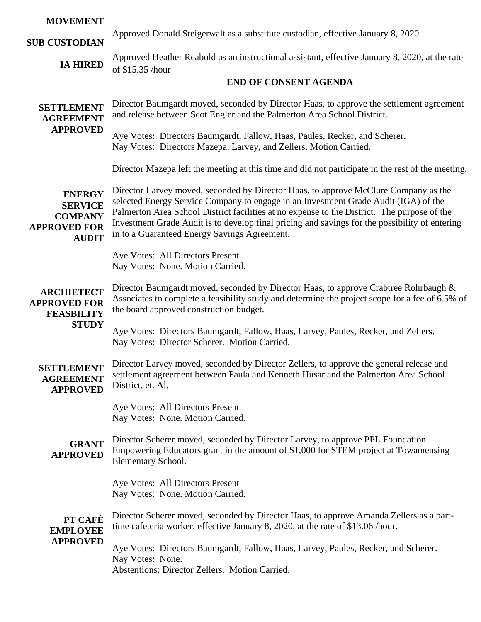# **MOVEMENT**

**SUB CUSTODIAN**

Approved Donald Steigerwalt as a substitute custodian, effective January 8, 2020.

**IA HIRED** Approved Heather Reabold as an instructional assistant, effective January 8, 2020, at the rate of \$15.35 /hour

# **END OF CONSENT AGENDA**

**SETTLEMENT AGREEMENT APPROVED** Director Baumgardt moved, seconded by Director Haas, to approve the settlement agreement and release between Scot Engler and the Palmerton Area School District.

Aye Votes: Directors Baumgardt, Fallow, Haas, Paules, Recker, and Scherer. Nay Votes: Directors Mazepa, Larvey, and Zellers. Motion Carried.

Director Mazepa left the meeting at this time and did not participate in the rest of the meeting.

**ENERGY SERVICE COMPANY APPROVED FOR AUDIT** Director Larvey moved, seconded by Director Haas, to approve McClure Company as the selected Energy Service Company to engage in an Investment Grade Audit (IGA) of the Palmerton Area School District facilities at no expense to the District. The purpose of the Investment Grade Audit is to develop final pricing and savings for the possibility of entering in to a Guaranteed Energy Savings Agreement.

> Aye Votes: All Directors Present Nay Votes: None. Motion Carried.

#### **ARCHIETECT APPROVED FOR FEASBILITY STUDY** Director Baumgardt moved, seconded by Director Haas, to approve Crabtree Rohrbaugh &

Associates to complete a feasibility study and determine the project scope for a fee of 6.5% of the board approved construction budget.

Aye Votes: Directors Baumgardt, Fallow, Haas, Larvey, Paules, Recker, and Zellers. Nay Votes: Director Scherer. Motion Carried.

**SETTLEMENT AGREEMENT APPROVED** Director Larvey moved, seconded by Director Zellers, to approve the general release and settlement agreement between Paula and Kenneth Husar and the Palmerton Area School District, et. Al.

> Aye Votes: All Directors Present Nay Votes: None. Motion Carried.

**GRANT APPROVED** Director Scherer moved, seconded by Director Larvey, to approve PPL Foundation Empowering Educators grant in the amount of \$1,000 for STEM project at Towamensing Elementary School.

> Aye Votes: All Directors Present Nay Votes: None. Motion Carried.

**PT CAFÉ EMPLOYEE APPROVED** Director Scherer moved, seconded by Director Haas, to approve Amanda Zellers as a parttime cafeteria worker, effective January 8, 2020, at the rate of \$13.06 /hour. Aye Votes: Directors Baumgardt, Fallow, Haas, Larvey, Paules, Recker, and Scherer.

Nay Votes: None.

Abstentions: Director Zellers. Motion Carried.